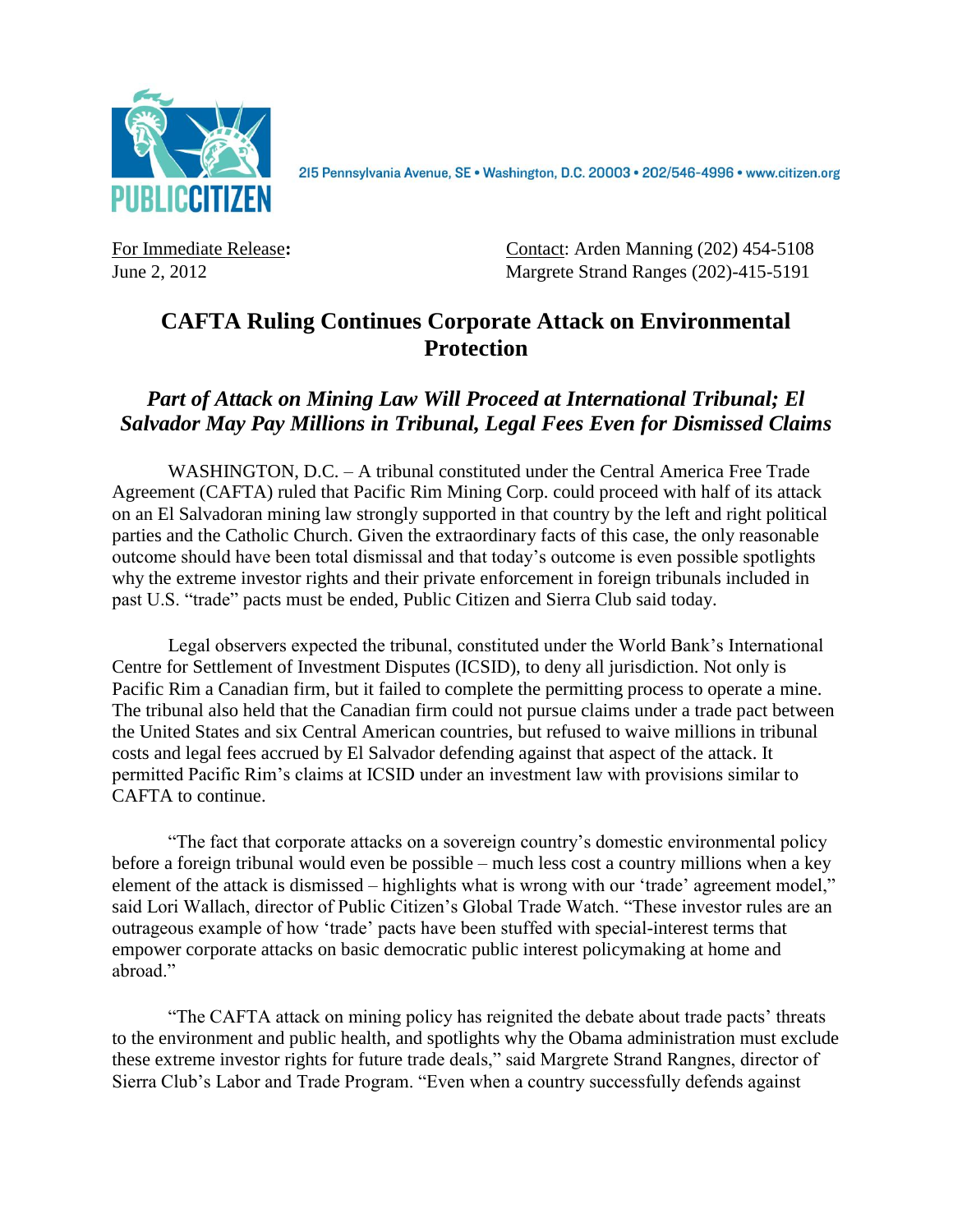

215 Pennsylvania Avenue, SE · Washington, D.C. 20003 · 202/546-4996 · www.citizen.org

For Immediate Release: Contact: Arden Manning (202) 454-5108 June 2, 2012 Margrete Strand Ranges (202)-415-5191

## **CAFTA Ruling Continues Corporate Attack on Environmental Protection**

## *Part of Attack on Mining Law Will Proceed at International Tribunal; El Salvador May Pay Millions in Tribunal, Legal Fees Even for Dismissed Claims*

WASHINGTON, D.C. – A tribunal constituted under the Central America Free Trade Agreement (CAFTA) ruled that Pacific Rim Mining Corp. could proceed with half of its attack on an El Salvadoran mining law strongly supported in that country by the left and right political parties and the Catholic Church. Given the extraordinary facts of this case, the only reasonable outcome should have been total dismissal and that today's outcome is even possible spotlights why the extreme investor rights and their private enforcement in foreign tribunals included in past U.S. "trade" pacts must be ended, Public Citizen and Sierra Club said today.

Legal observers expected the tribunal, constituted under the World Bank's International Centre for Settlement of Investment Disputes (ICSID), to deny all jurisdiction. Not only is Pacific Rim a Canadian firm, but it failed to complete the permitting process to operate a mine. The tribunal also held that the Canadian firm could not pursue claims under a trade pact between the United States and six Central American countries, but refused to waive millions in tribunal costs and legal fees accrued by El Salvador defending against that aspect of the attack. It permitted Pacific Rim's claims at ICSID under an investment law with provisions similar to CAFTA to continue.

"The fact that corporate attacks on a sovereign country's domestic environmental policy before a foreign tribunal would even be possible – much less cost a country millions when a key element of the attack is dismissed – highlights what is wrong with our 'trade' agreement model," said Lori Wallach, director of Public Citizen's Global Trade Watch. "These investor rules are an outrageous example of how 'trade' pacts have been stuffed with special-interest terms that empower corporate attacks on basic democratic public interest policymaking at home and abroad."

"The CAFTA attack on mining policy has reignited the debate about trade pacts' threats to the environment and public health, and spotlights why the Obama administration must exclude these extreme investor rights for future trade deals," said Margrete Strand Rangnes, director of Sierra Club's Labor and Trade Program. "Even when a country successfully defends against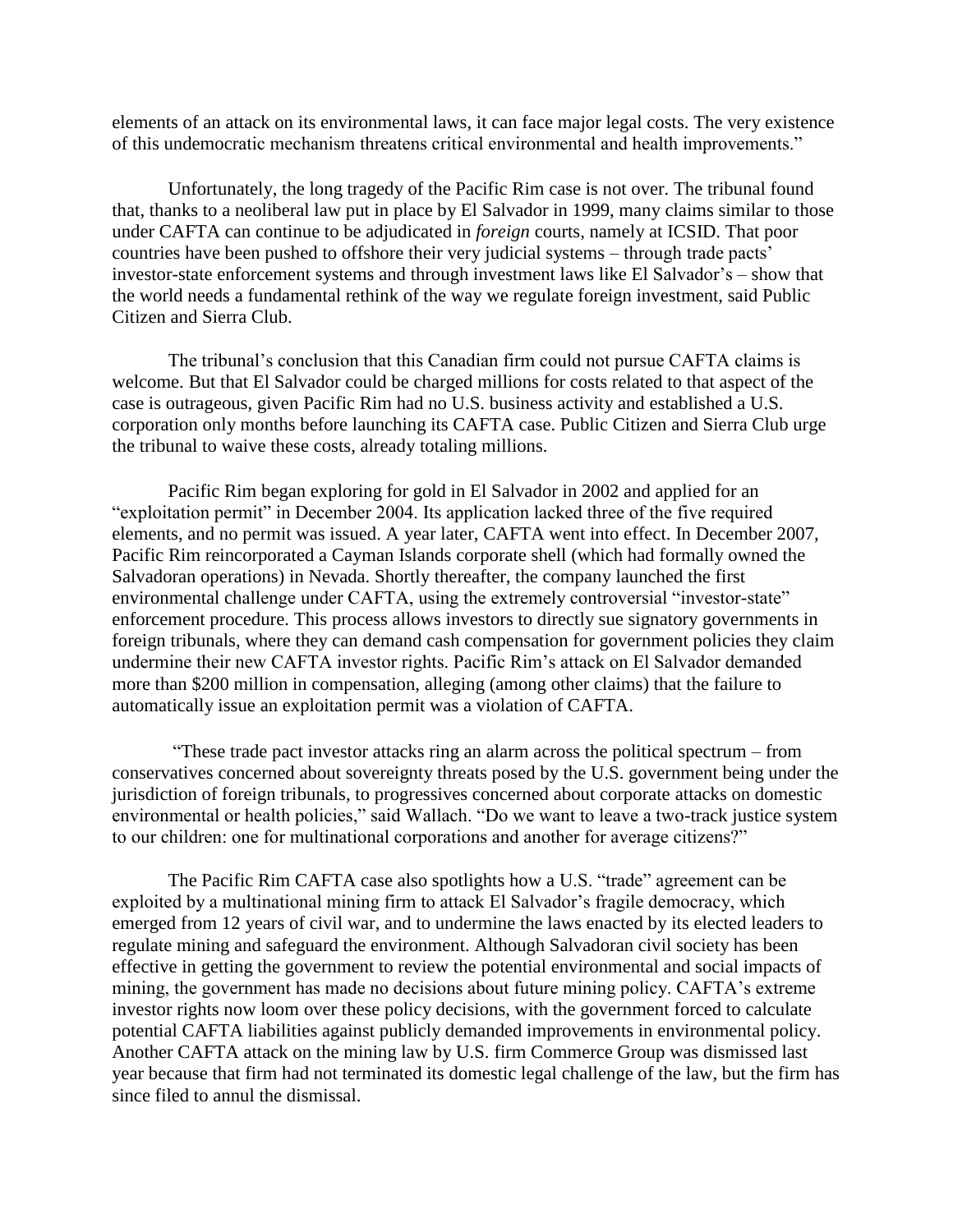elements of an attack on its environmental laws, it can face major legal costs. The very existence of this undemocratic mechanism threatens critical environmental and health improvements."

Unfortunately, the long tragedy of the Pacific Rim case is not over. The tribunal found that, thanks to a neoliberal law put in place by El Salvador in 1999, many claims similar to those under CAFTA can continue to be adjudicated in *foreign* courts, namely at ICSID. That poor countries have been pushed to offshore their very judicial systems – through trade pacts' investor-state enforcement systems and through investment laws like El Salvador's – show that the world needs a fundamental rethink of the way we regulate foreign investment, said Public Citizen and Sierra Club.

The tribunal's conclusion that this Canadian firm could not pursue CAFTA claims is welcome. But that El Salvador could be charged millions for costs related to that aspect of the case is outrageous, given Pacific Rim had no U.S. business activity and established a U.S. corporation only months before launching its CAFTA case. Public Citizen and Sierra Club urge the tribunal to waive these costs, already totaling millions.

Pacific Rim began exploring for gold in El Salvador in 2002 and applied for an "exploitation permit" in December 2004. Its application lacked three of the five required elements, and no permit was issued. A year later, CAFTA went into effect. In December 2007, Pacific Rim reincorporated a Cayman Islands corporate shell (which had formally owned the Salvadoran operations) in Nevada. Shortly thereafter, the company launched the first environmental challenge under CAFTA, using the extremely controversial "investor-state" enforcement procedure. This process allows investors to directly sue signatory governments in foreign tribunals, where they can demand cash compensation for government policies they claim undermine their new CAFTA investor rights. Pacific Rim's attack on El Salvador demanded more than \$200 million in compensation, alleging (among other claims) that the failure to automatically issue an exploitation permit was a violation of CAFTA.

"These trade pact investor attacks ring an alarm across the political spectrum – from conservatives concerned about sovereignty threats posed by the U.S. government being under the jurisdiction of foreign tribunals, to progressives concerned about corporate attacks on domestic environmental or health policies," said Wallach. "Do we want to leave a two-track justice system to our children: one for multinational corporations and another for average citizens?"

The Pacific Rim CAFTA case also spotlights how a U.S. "trade" agreement can be exploited by a multinational mining firm to attack El Salvador's fragile democracy, which emerged from 12 years of civil war, and to undermine the laws enacted by its elected leaders to regulate mining and safeguard the environment. Although Salvadoran civil society has been effective in getting the government to review the potential environmental and social impacts of mining, the government has made no decisions about future mining policy. CAFTA's extreme investor rights now loom over these policy decisions, with the government forced to calculate potential CAFTA liabilities against publicly demanded improvements in environmental policy. Another CAFTA attack on the mining law by U.S. firm Commerce Group was dismissed last year because that firm had not terminated its domestic legal challenge of the law, but the firm has since filed to annul the dismissal.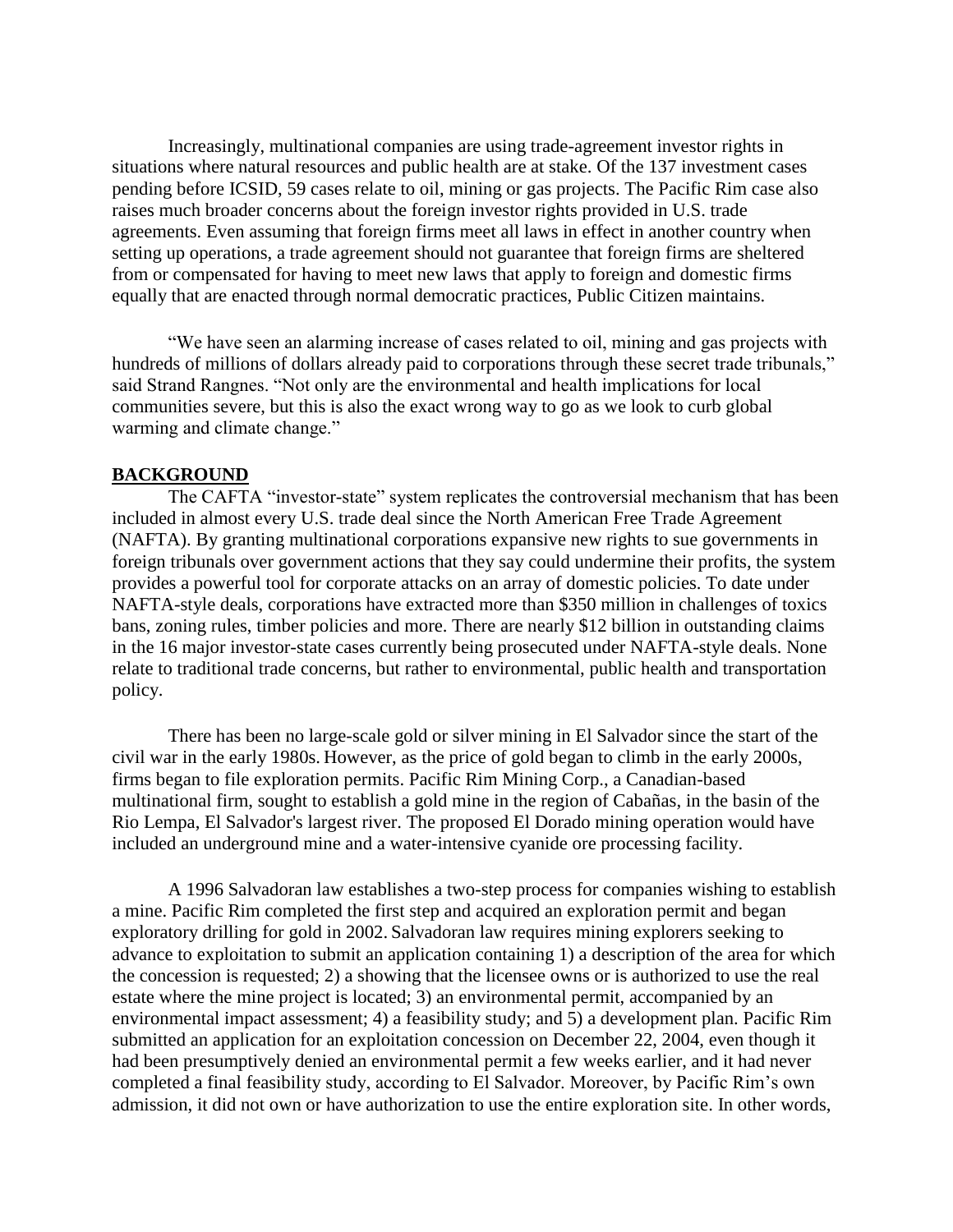Increasingly, multinational companies are using trade-agreement investor rights in situations where natural resources and public health are at stake. Of the 137 investment cases pending before ICSID, 59 cases relate to oil, mining or gas projects. The Pacific Rim case also raises much broader concerns about the foreign investor rights provided in U.S. trade agreements. Even assuming that foreign firms meet all laws in effect in another country when setting up operations, a trade agreement should not guarantee that foreign firms are sheltered from or compensated for having to meet new laws that apply to foreign and domestic firms equally that are enacted through normal democratic practices, Public Citizen maintains.

"We have seen an alarming increase of cases related to oil, mining and gas projects with hundreds of millions of dollars already paid to corporations through these secret trade tribunals," said Strand Rangnes. "Not only are the environmental and health implications for local communities severe, but this is also the exact wrong way to go as we look to curb global warming and climate change."

## **BACKGROUND**

The CAFTA "investor-state" system replicates the controversial mechanism that has been included in almost every U.S. trade deal since the North American Free Trade Agreement (NAFTA). By granting multinational corporations expansive new rights to sue governments in foreign tribunals over government actions that they say could undermine their profits, the system provides a powerful tool for corporate attacks on an array of domestic policies. To date under NAFTA-style deals, corporations have extracted more than \$350 million in challenges of toxics bans, zoning rules, timber policies and more. There are nearly \$12 billion in outstanding claims in the 16 major investor-state cases currently being prosecuted under NAFTA-style deals. None relate to traditional trade concerns, but rather to environmental, public health and transportation policy.

There has been no large-scale gold or silver mining in El Salvador since the start of the civil war in the early 1980s. However, as the price of gold began to climb in the early 2000s, firms began to file exploration permits. Pacific Rim Mining Corp., a Canadian-based multinational firm, sought to establish a gold mine in the region of Cabañas, in the basin of the Rio Lempa, El Salvador's largest river. The proposed El Dorado mining operation would have included an underground mine and a water-intensive cyanide ore processing facility.

A 1996 Salvadoran law establishes a two-step process for companies wishing to establish a mine. Pacific Rim completed the first step and acquired an exploration permit and began exploratory drilling for gold in 2002. Salvadoran law requires mining explorers seeking to advance to exploitation to submit an application containing 1) a description of the area for which the concession is requested; 2) a showing that the licensee owns or is authorized to use the real estate where the mine project is located; 3) an environmental permit, accompanied by an environmental impact assessment; 4) a feasibility study; and 5) a development plan. Pacific Rim submitted an application for an exploitation concession on December 22, 2004, even though it had been presumptively denied an environmental permit a few weeks earlier, and it had never completed a final feasibility study, according to El Salvador. Moreover, by Pacific Rim's own admission, it did not own or have authorization to use the entire exploration site. In other words,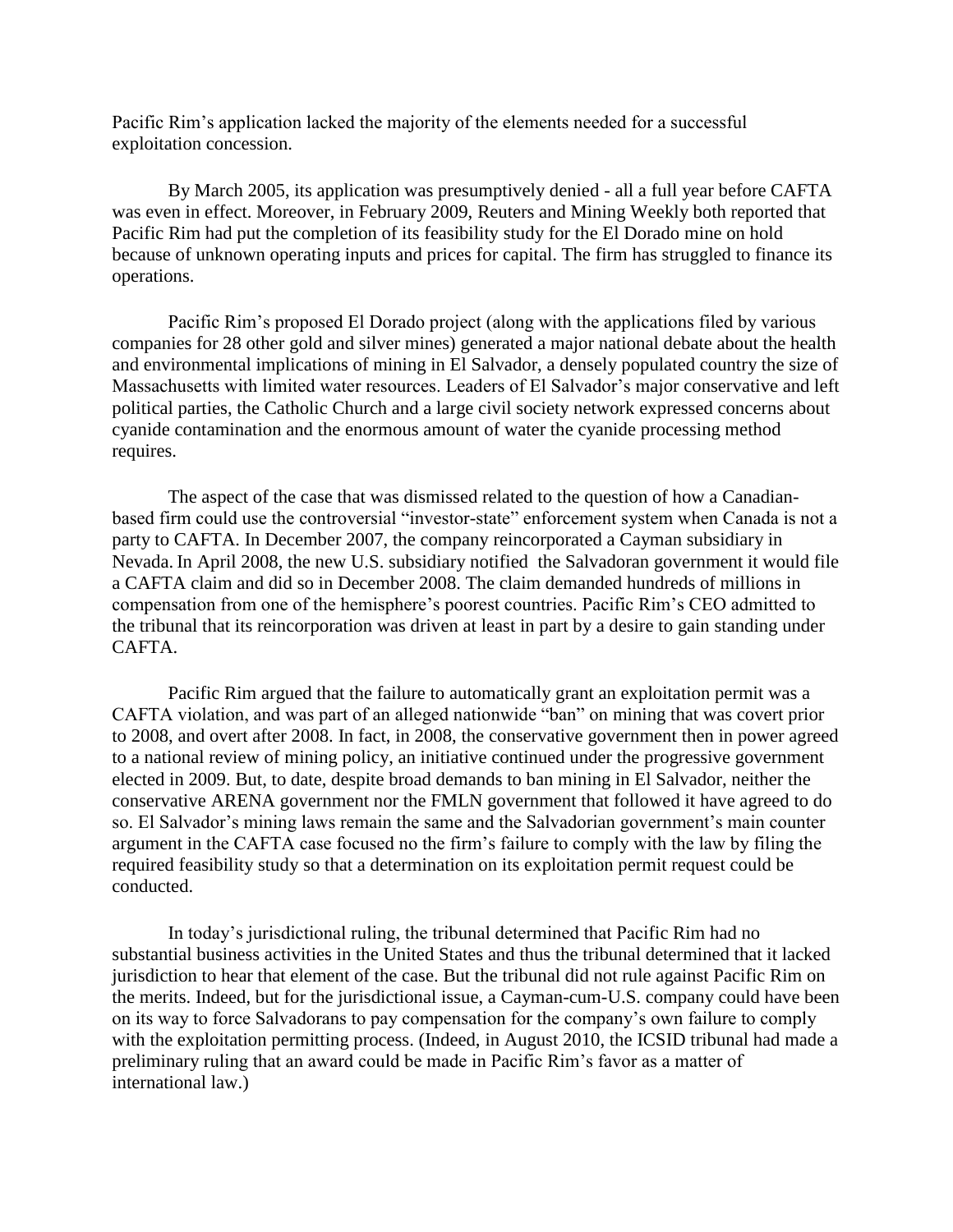Pacific Rim's application lacked the majority of the elements needed for a successful exploitation concession.

By March 2005, its application was presumptively denied - all a full year before CAFTA was even in effect. Moreover, in February 2009, Reuters and Mining Weekly both reported that Pacific Rim had put the completion of its feasibility study for the El Dorado mine on hold because of unknown operating inputs and prices for capital. The firm has struggled to finance its operations.

 Pacific Rim's proposed El Dorado project (along with the applications filed by various companies for 28 other gold and silver mines) generated a major national debate about the health and environmental implications of mining in El Salvador, a densely populated country the size of Massachusetts with limited water resources. Leaders of El Salvador's major conservative and left political parties, the Catholic Church and a large civil society network expressed concerns about cyanide contamination and the enormous amount of water the cyanide processing method requires.

The aspect of the case that was dismissed related to the question of how a Canadianbased firm could use the controversial "investor-state" enforcement system when Canada is not a party to CAFTA. In December 2007, the company reincorporated a Cayman subsidiary in Nevada. In April 2008, the new U.S. subsidiary notified the Salvadoran government it would file a CAFTA claim and did so in December 2008. The claim demanded hundreds of millions in compensation from one of the hemisphere's poorest countries. Pacific Rim's CEO admitted to the tribunal that its reincorporation was driven at least in part by a desire to gain standing under CAFTA.

Pacific Rim argued that the failure to automatically grant an exploitation permit was a CAFTA violation, and was part of an alleged nationwide "ban" on mining that was covert prior to 2008, and overt after 2008. In fact, in 2008, the conservative government then in power agreed to a national review of mining policy, an initiative continued under the progressive government elected in 2009. But, to date, despite broad demands to ban mining in El Salvador, neither the conservative ARENA government nor the FMLN government that followed it have agreed to do so. El Salvador's mining laws remain the same and the Salvadorian government's main counter argument in the CAFTA case focused no the firm's failure to comply with the law by filing the required feasibility study so that a determination on its exploitation permit request could be conducted.

In today's jurisdictional ruling, the tribunal determined that Pacific Rim had no substantial business activities in the United States and thus the tribunal determined that it lacked jurisdiction to hear that element of the case. But the tribunal did not rule against Pacific Rim on the merits. Indeed, but for the jurisdictional issue, a Cayman-cum-U.S. company could have been on its way to force Salvadorans to pay compensation for the company's own failure to comply with the exploitation permitting process. (Indeed, in August 2010, the ICSID tribunal had made a preliminary ruling that an award could be made in Pacific Rim's favor as a matter of international law.)